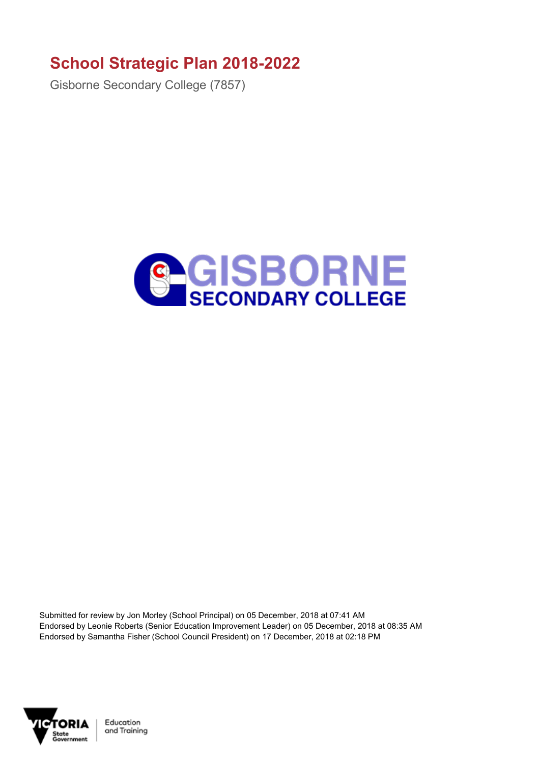## **School Strategic Plan 2018-2022**

Gisborne Secondary College (7857)



Submitted for review by Jon Morley (School Principal) on 05 December, 2018 at 07:41 AM Endorsed by Leonie Roberts (Senior Education Improvement Leader) on 05 December, 2018 at 08:35 AM Endorsed by Samantha Fisher (School Council President) on 17 December, 2018 at 02:18 PM



Education and Training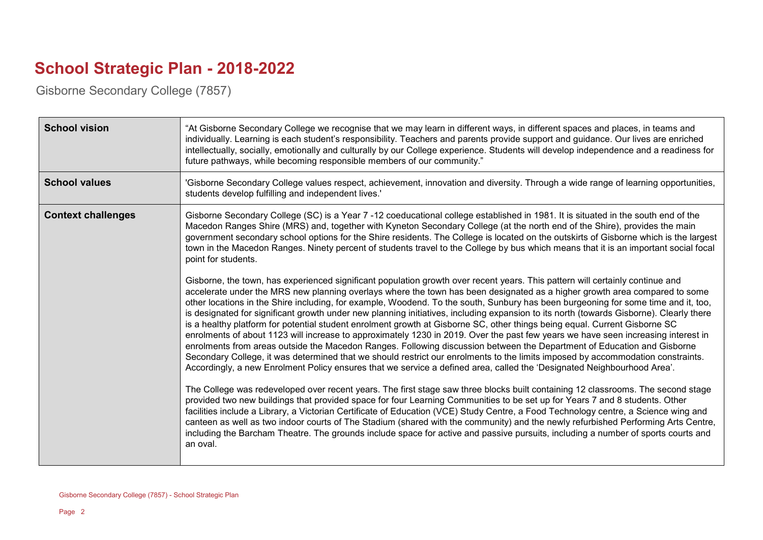## **School Strategic Plan - 2018-2022**

Gisborne Secondary College (7857)

| <b>School vision</b>      | "At Gisborne Secondary College we recognise that we may learn in different ways, in different spaces and places, in teams and<br>individually. Learning is each student's responsibility. Teachers and parents provide support and guidance. Our lives are enriched<br>intellectually, socially, emotionally and culturally by our College experience. Students will develop independence and a readiness for<br>future pathways, while becoming responsible members of our community."                                                                                                                                                                                                                                                                                                                                                                                                                                                                                                                                                                                                                                                                                                                  |
|---------------------------|----------------------------------------------------------------------------------------------------------------------------------------------------------------------------------------------------------------------------------------------------------------------------------------------------------------------------------------------------------------------------------------------------------------------------------------------------------------------------------------------------------------------------------------------------------------------------------------------------------------------------------------------------------------------------------------------------------------------------------------------------------------------------------------------------------------------------------------------------------------------------------------------------------------------------------------------------------------------------------------------------------------------------------------------------------------------------------------------------------------------------------------------------------------------------------------------------------|
| <b>School values</b>      | 'Gisborne Secondary College values respect, achievement, innovation and diversity. Through a wide range of learning opportunities,<br>students develop fulfilling and independent lives.'                                                                                                                                                                                                                                                                                                                                                                                                                                                                                                                                                                                                                                                                                                                                                                                                                                                                                                                                                                                                                |
| <b>Context challenges</b> | Gisborne Secondary College (SC) is a Year 7 -12 coeducational college established in 1981. It is situated in the south end of the<br>Macedon Ranges Shire (MRS) and, together with Kyneton Secondary College (at the north end of the Shire), provides the main<br>government secondary school options for the Shire residents. The College is located on the outskirts of Gisborne which is the largest<br>town in the Macedon Ranges. Ninety percent of students travel to the College by bus which means that it is an important social focal<br>point for students.                                                                                                                                                                                                                                                                                                                                                                                                                                                                                                                                                                                                                                  |
|                           | Gisborne, the town, has experienced significant population growth over recent years. This pattern will certainly continue and<br>accelerate under the MRS new planning overlays where the town has been designated as a higher growth area compared to some<br>other locations in the Shire including, for example, Woodend. To the south, Sunbury has been burgeoning for some time and it, too,<br>is designated for significant growth under new planning initiatives, including expansion to its north (towards Gisborne). Clearly there<br>is a healthy platform for potential student enrolment growth at Gisborne SC, other things being equal. Current Gisborne SC<br>enrolments of about 1123 will increase to approximately 1230 in 2019. Over the past few years we have seen increasing interest in<br>enrolments from areas outside the Macedon Ranges. Following discussion between the Department of Education and Gisborne<br>Secondary College, it was determined that we should restrict our enrolments to the limits imposed by accommodation constraints.<br>Accordingly, a new Enrolment Policy ensures that we service a defined area, called the 'Designated Neighbourhood Area'. |
|                           | The College was redeveloped over recent years. The first stage saw three blocks built containing 12 classrooms. The second stage<br>provided two new buildings that provided space for four Learning Communities to be set up for Years 7 and 8 students. Other<br>facilities include a Library, a Victorian Certificate of Education (VCE) Study Centre, a Food Technology centre, a Science wing and<br>canteen as well as two indoor courts of The Stadium (shared with the community) and the newly refurbished Performing Arts Centre,<br>including the Barcham Theatre. The grounds include space for active and passive pursuits, including a number of sports courts and<br>an oval.                                                                                                                                                                                                                                                                                                                                                                                                                                                                                                             |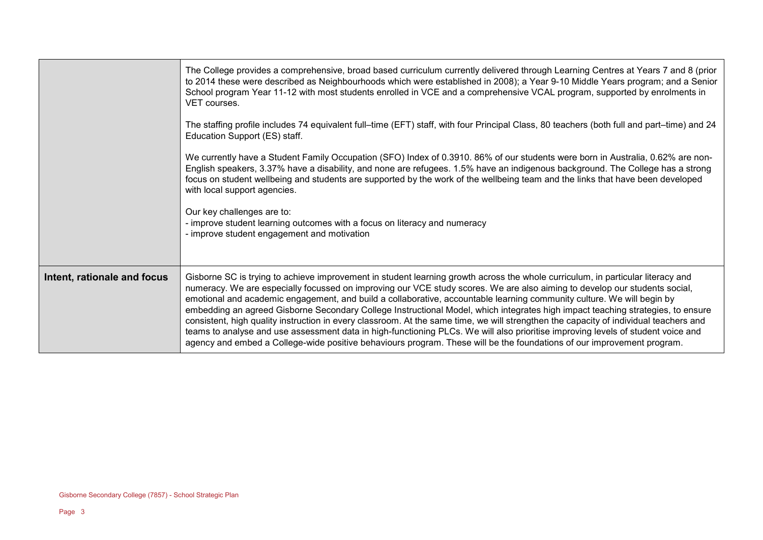|                             | The College provides a comprehensive, broad based curriculum currently delivered through Learning Centres at Years 7 and 8 (prior<br>to 2014 these were described as Neighbourhoods which were established in 2008); a Year 9-10 Middle Years program; and a Senior<br>School program Year 11-12 with most students enrolled in VCE and a comprehensive VCAL program, supported by enrolments in<br>VET courses.                                                                                                                                                                                                                                                                                                                                                                                                                                                                                                                  |
|-----------------------------|-----------------------------------------------------------------------------------------------------------------------------------------------------------------------------------------------------------------------------------------------------------------------------------------------------------------------------------------------------------------------------------------------------------------------------------------------------------------------------------------------------------------------------------------------------------------------------------------------------------------------------------------------------------------------------------------------------------------------------------------------------------------------------------------------------------------------------------------------------------------------------------------------------------------------------------|
|                             | The staffing profile includes 74 equivalent full–time (EFT) staff, with four Principal Class, 80 teachers (both full and part–time) and 24<br>Education Support (ES) staff.                                                                                                                                                                                                                                                                                                                                                                                                                                                                                                                                                                                                                                                                                                                                                       |
|                             | We currently have a Student Family Occupation (SFO) Index of 0.3910. 86% of our students were born in Australia, 0.62% are non-<br>English speakers, 3.37% have a disability, and none are refugees. 1.5% have an indigenous background. The College has a strong<br>focus on student wellbeing and students are supported by the work of the wellbeing team and the links that have been developed<br>with local support agencies.                                                                                                                                                                                                                                                                                                                                                                                                                                                                                               |
|                             | Our key challenges are to:<br>- improve student learning outcomes with a focus on literacy and numeracy<br>- improve student engagement and motivation                                                                                                                                                                                                                                                                                                                                                                                                                                                                                                                                                                                                                                                                                                                                                                            |
| Intent, rationale and focus | Gisborne SC is trying to achieve improvement in student learning growth across the whole curriculum, in particular literacy and<br>numeracy. We are especially focussed on improving our VCE study scores. We are also aiming to develop our students social,<br>emotional and academic engagement, and build a collaborative, accountable learning community culture. We will begin by<br>embedding an agreed Gisborne Secondary College Instructional Model, which integrates high impact teaching strategies, to ensure<br>consistent, high quality instruction in every classroom. At the same time, we will strengthen the capacity of individual teachers and<br>teams to analyse and use assessment data in high-functioning PLCs. We will also prioritise improving levels of student voice and<br>agency and embed a College-wide positive behaviours program. These will be the foundations of our improvement program. |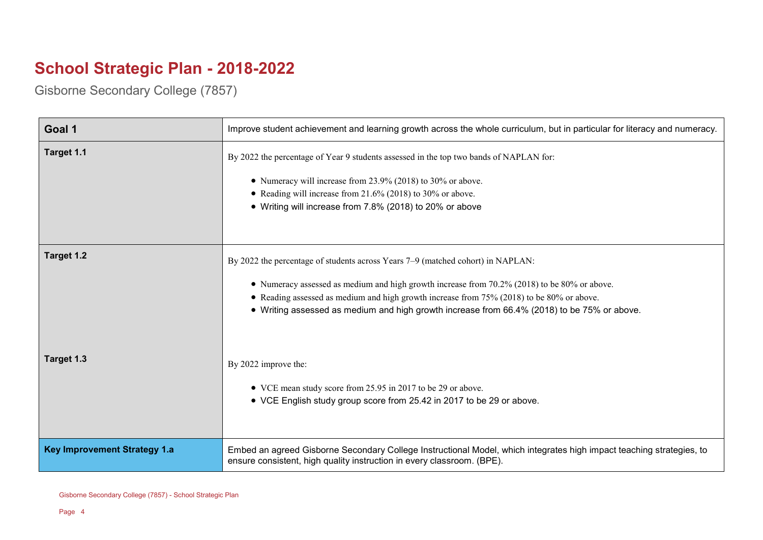## **School Strategic Plan - 2018-2022**

Gisborne Secondary College (7857)

| Goal 1                              | Improve student achievement and learning growth across the whole curriculum, but in particular for literacy and numeracy.                                                                                                                                                                                                                                                   |
|-------------------------------------|-----------------------------------------------------------------------------------------------------------------------------------------------------------------------------------------------------------------------------------------------------------------------------------------------------------------------------------------------------------------------------|
| Target 1.1                          | By 2022 the percentage of Year 9 students assessed in the top two bands of NAPLAN for:<br>• Numeracy will increase from 23.9% (2018) to 30% or above.<br>• Reading will increase from 21.6% (2018) to 30% or above.<br>• Writing will increase from 7.8% (2018) to 20% or above                                                                                             |
| Target 1.2                          | By 2022 the percentage of students across Years 7-9 (matched cohort) in NAPLAN:<br>• Numeracy assessed as medium and high growth increase from 70.2% (2018) to be 80% or above.<br>• Reading assessed as medium and high growth increase from 75% (2018) to be 80% or above.<br>• Writing assessed as medium and high growth increase from 66.4% (2018) to be 75% or above. |
| Target 1.3                          | By 2022 improve the:<br>• VCE mean study score from 25.95 in 2017 to be 29 or above.<br>• VCE English study group score from 25.42 in 2017 to be 29 or above.                                                                                                                                                                                                               |
| <b>Key Improvement Strategy 1.a</b> | Embed an agreed Gisborne Secondary College Instructional Model, which integrates high impact teaching strategies, to<br>ensure consistent, high quality instruction in every classroom. (BPE).                                                                                                                                                                              |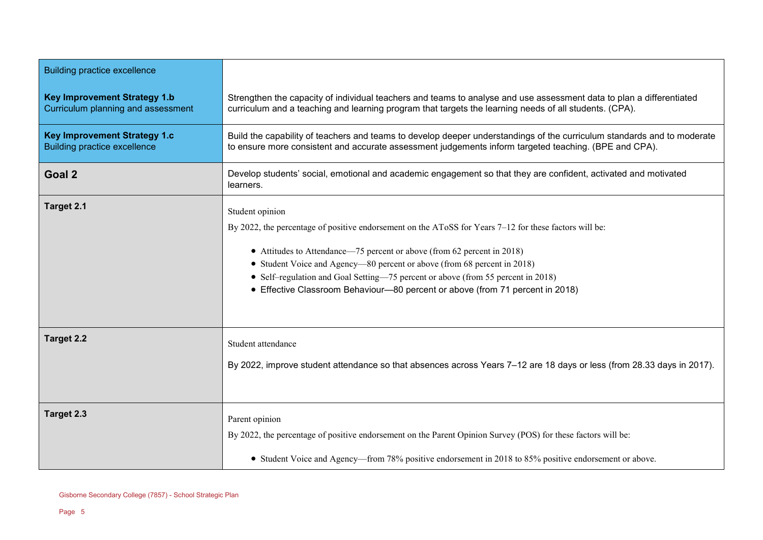| <b>Building practice excellence</b>                                        |                                                                                                                                                                                                                                                                                                                                                                                                                                                       |
|----------------------------------------------------------------------------|-------------------------------------------------------------------------------------------------------------------------------------------------------------------------------------------------------------------------------------------------------------------------------------------------------------------------------------------------------------------------------------------------------------------------------------------------------|
| <b>Key Improvement Strategy 1.b</b><br>Curriculum planning and assessment  | Strengthen the capacity of individual teachers and teams to analyse and use assessment data to plan a differentiated<br>curriculum and a teaching and learning program that targets the learning needs of all students. (CPA).                                                                                                                                                                                                                        |
| <b>Key Improvement Strategy 1.c</b><br><b>Building practice excellence</b> | Build the capability of teachers and teams to develop deeper understandings of the curriculum standards and to moderate<br>to ensure more consistent and accurate assessment judgements inform targeted teaching. (BPE and CPA).                                                                                                                                                                                                                      |
| Goal 2                                                                     | Develop students' social, emotional and academic engagement so that they are confident, activated and motivated<br>learners.                                                                                                                                                                                                                                                                                                                          |
| Target 2.1                                                                 | Student opinion<br>By 2022, the percentage of positive endorsement on the AToSS for Years 7-12 for these factors will be:<br>• Attitudes to Attendance—75 percent or above (from 62 percent in 2018)<br>• Student Voice and Agency—80 percent or above (from 68 percent in 2018)<br>• Self-regulation and Goal Setting-75 percent or above (from 55 percent in 2018)<br>• Effective Classroom Behaviour-80 percent or above (from 71 percent in 2018) |
| <b>Target 2.2</b>                                                          | Student attendance<br>By 2022, improve student attendance so that absences across Years 7–12 are 18 days or less (from 28.33 days in 2017).                                                                                                                                                                                                                                                                                                           |
| Target 2.3                                                                 | Parent opinion<br>By 2022, the percentage of positive endorsement on the Parent Opinion Survey (POS) for these factors will be:<br>• Student Voice and Agency—from 78% positive endorsement in 2018 to 85% positive endorsement or above.                                                                                                                                                                                                             |

 $\overline{\phantom{a}}$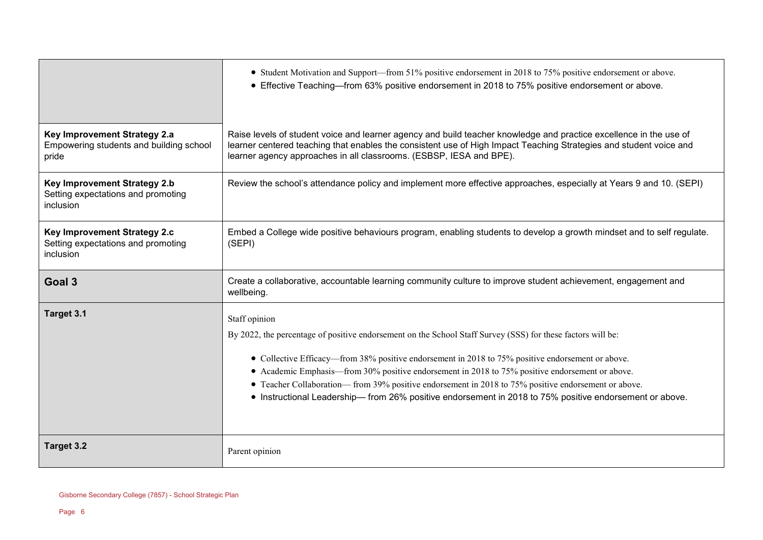|                                                                                        | • Student Motivation and Support—from 51% positive endorsement in 2018 to 75% positive endorsement or above.<br>• Effective Teaching—from 63% positive endorsement in 2018 to 75% positive endorsement or above.                                                                                                                                                                                                                             |
|----------------------------------------------------------------------------------------|----------------------------------------------------------------------------------------------------------------------------------------------------------------------------------------------------------------------------------------------------------------------------------------------------------------------------------------------------------------------------------------------------------------------------------------------|
| Key Improvement Strategy 2.a<br>Empowering students and building school<br>pride       | Raise levels of student voice and learner agency and build teacher knowledge and practice excellence in the use of<br>learner centered teaching that enables the consistent use of High Impact Teaching Strategies and student voice and<br>learner agency approaches in all classrooms. (ESBSP, IESA and BPE).                                                                                                                              |
| <b>Key Improvement Strategy 2.b</b><br>Setting expectations and promoting<br>inclusion | Review the school's attendance policy and implement more effective approaches, especially at Years 9 and 10. (SEPI)                                                                                                                                                                                                                                                                                                                          |
| Key Improvement Strategy 2.c<br>Setting expectations and promoting<br>inclusion        | Embed a College wide positive behaviours program, enabling students to develop a growth mindset and to self regulate.<br>(SEPI)                                                                                                                                                                                                                                                                                                              |
| Goal 3                                                                                 | Create a collaborative, accountable learning community culture to improve student achievement, engagement and<br>wellbeing.                                                                                                                                                                                                                                                                                                                  |
| Target 3.1                                                                             | Staff opinion<br>By 2022, the percentage of positive endorsement on the School Staff Survey (SSS) for these factors will be:<br>• Collective Efficacy—from 38% positive endorsement in 2018 to 75% positive endorsement or above.<br>• Academic Emphasis—from 30% positive endorsement in 2018 to 75% positive endorsement or above.<br>• Teacher Collaboration— from 39% positive endorsement in 2018 to 75% positive endorsement or above. |
|                                                                                        | • Instructional Leadership— from 26% positive endorsement in 2018 to 75% positive endorsement or above.                                                                                                                                                                                                                                                                                                                                      |